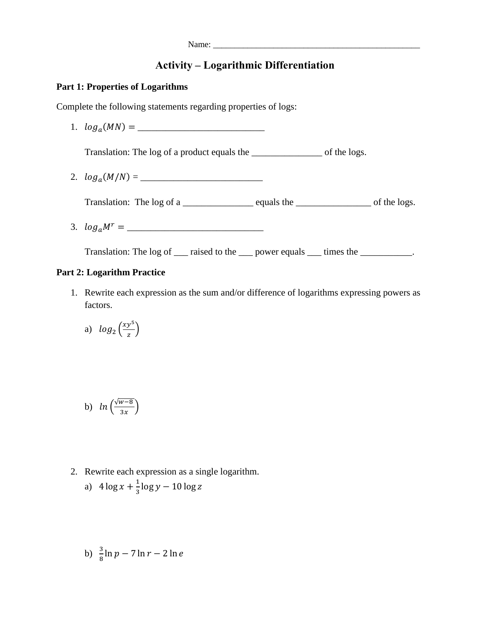# **Activity – Logarithmic Differentiation**

#### **Part 1: Properties of Logarithms**

Complete the following statements regarding properties of logs:

1. () = \_\_\_\_\_\_\_\_\_\_\_\_\_\_\_\_\_\_\_\_\_\_\_\_\_\_\_

Translation: The log of a product equals the \_\_\_\_\_\_\_\_\_\_\_\_\_\_\_ of the logs.

2. (/) = \_\_\_\_\_\_\_\_\_\_\_\_\_\_\_\_\_\_\_\_\_\_\_\_\_\_

Translation: The log of a \_\_\_\_\_\_\_\_\_\_\_\_\_\_\_ equals the \_\_\_\_\_\_\_\_\_\_\_\_\_\_\_\_ of the logs.

3. = \_\_\_\_\_\_\_\_\_\_\_\_\_\_\_\_\_\_\_\_\_\_\_\_\_\_\_\_\_

Translation: The log of \_\_\_ raised to the \_\_\_ power equals \_\_\_ times the \_\_\_\_\_\_\_\_\_\_.

### **Part 2: Logarithm Practice**

1. Rewrite each expression as the sum and/or difference of logarithms expressing powers as factors.

a) 
$$
log_2\left(\frac{xy^5}{z}\right)
$$

b) 
$$
ln\left(\frac{\sqrt{w-8}}{3x}\right)
$$

2. Rewrite each expression as a single logarithm.

a) 
$$
4\log x + \frac{1}{3}\log y - 10\log z
$$

b) 
$$
\frac{3}{8} \ln p - 7 \ln r - 2 \ln e
$$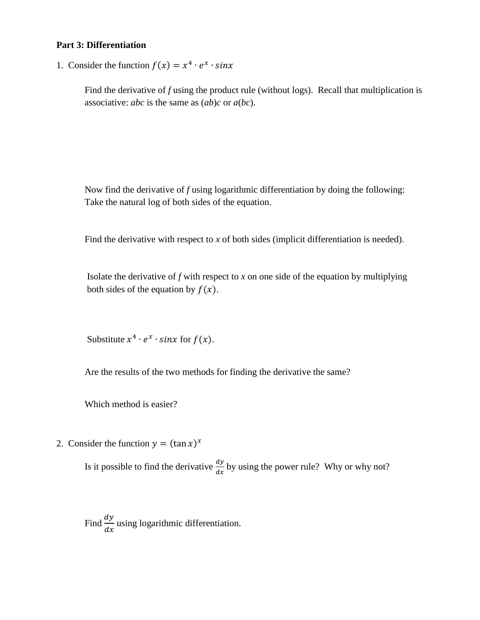#### **Part 3: Differentiation**

1. Consider the function  $f(x) = x^4 \cdot e^x \cdot \sin x$ 

Find the derivative of *f* using the product rule (without logs). Recall that multiplication is associative: *abc* is the same as (*ab*)*c* or *a*(*bc*).

Now find the derivative of *f* using logarithmic differentiation by doing the following: Take the natural log of both sides of the equation.

Find the derivative with respect to *x* of both sides (implicit differentiation is needed).

Isolate the derivative of  $f$  with respect to  $x$  on one side of the equation by multiplying both sides of the equation by  $f(x)$ .

Substitute  $x^4 \cdot e^x \cdot \sin x$  for  $f(x)$ .

Are the results of the two methods for finding the derivative the same?

Which method is easier?

2. Consider the function  $y = (\tan x)^x$ 

Is it possible to find the derivative  $\frac{dy}{dx}$  by using the power rule? Why or why not?

Find  $\frac{dy}{dx}$  $\frac{dy}{dx}$  using logarithmic differentiation.